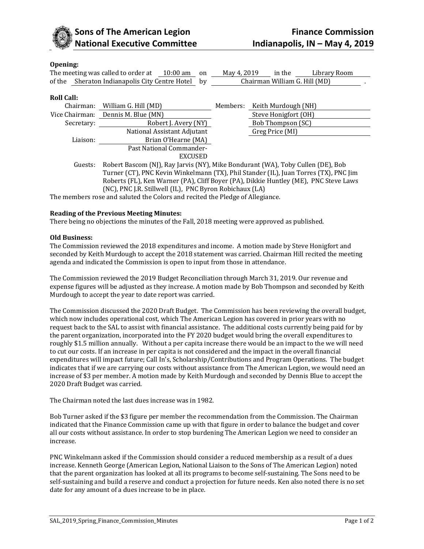

# **Opening:**

|                | The meeting was called to order at<br>$10:00 \text{ am}$<br>on                       | May 4, 2019                                                                     | in the               | Library Room |
|----------------|--------------------------------------------------------------------------------------|---------------------------------------------------------------------------------|----------------------|--------------|
| of the         | Sheraton Indianapolis City Centre Hotel by                                           | Chairman William G. Hill (MD)                                                   |                      |              |
|                |                                                                                      |                                                                                 |                      |              |
| Roll Call:     |                                                                                      |                                                                                 |                      |              |
| Chairman:      | William G. Hill (MD)                                                                 | Members:                                                                        | Keith Murdough (NH)  |              |
| Vice Chairman: | Dennis M. Blue (MN)                                                                  |                                                                                 | Steve Honigfort (OH) |              |
| Secretary:     | Robert J. Avery (NY)                                                                 | Bob Thompson (SC)                                                               |                      |              |
|                | National Assistant Adjutant                                                          |                                                                                 | Greg Price (MI)      |              |
| Liaison:       | Brian O'Hearne (MA)                                                                  |                                                                                 |                      |              |
|                | Past National Commander-                                                             |                                                                                 |                      |              |
|                | <b>EXCUSED</b>                                                                       |                                                                                 |                      |              |
| Guests:        |                                                                                      | Robert Bascom (NJ), Ray Jarvis (NY), Mike Bondurant (WA), Toby Cullen (DE), Bob |                      |              |
|                | Turner (CT), PNC Kevin Winkelmann (TX), Phil Stander (IL), Juan Torres (TX), PNC Jim |                                                                                 |                      |              |

Roberts (FL), Ken Warner (PA), Cliff Boyer (PA), Dikkie Huntley (ME), PNC Steve Laws (NC), PNC J.R. Stillwell (IL), PNC Byron Robichaux (LA)

The members rose and saluted the Colors and recited the Pledge of Allegiance.

## **Reading of the Previous Meeting Minutes:**

There being no objections the minutes of the Fall, 2018 meeting were approved as published.

### **Old Business:**

The Commission reviewed the 2018 expenditures and income. A motion made by Steve Honigfort and seconded by Keith Murdough to accept the 2018 statement was carried. Chairman Hill recited the meeting agenda and indicated the Commission is open to input from those in attendance.

The Commission reviewed the 2019 Budget Reconciliation through March 31, 2019. Our revenue and expense figures will be adjusted as they increase. A motion made by Bob Thompson and seconded by Keith Murdough to accept the year to date report was carried.

The Commission discussed the 2020 Draft Budget. The Commission has been reviewing the overall budget, which now includes operational cost, which The American Legion has covered in prior years with no request back to the SAL to assist with financial assistance. The additional costs currently being paid for by the parent organization, incorporated into the FY 2020 budget would bring the overall expenditures to roughly \$1.5 million annually. Without a per capita increase there would be an impact to the we will need to cut our costs. If an increase in per capita is not considered and the impact in the overall financial expenditures will impact future; Call In's, Scholarship/Contributions and Program Operations. The budget indicates that if we are carrying our costs without assistance from The American Legion, we would need an increase of \$3 per member. A motion made by Keith Murdough and seconded by Dennis Blue to accept the 2020 Draft Budget was carried.

The Chairman noted the last dues increase was in 1982.

Bob Turner asked if the \$3 figure per member the recommendation from the Commission. The Chairman indicated that the Finance Commission came up with that figure in order to balance the budget and cover all our costs without assistance. In order to stop burdening The American Legion we need to consider an increase.

PNC Winkelmann asked if the Commission should consider a reduced membership as a result of a dues increase. Kenneth George (American Legion, National Liaison to the Sons of The American Legion) noted that the parent organization has looked at all its programs to become self-sustaining. The Sons need to be self-sustaining and build a reserve and conduct a projection for future needs. Ken also noted there is no set date for any amount of a dues increase to be in place.